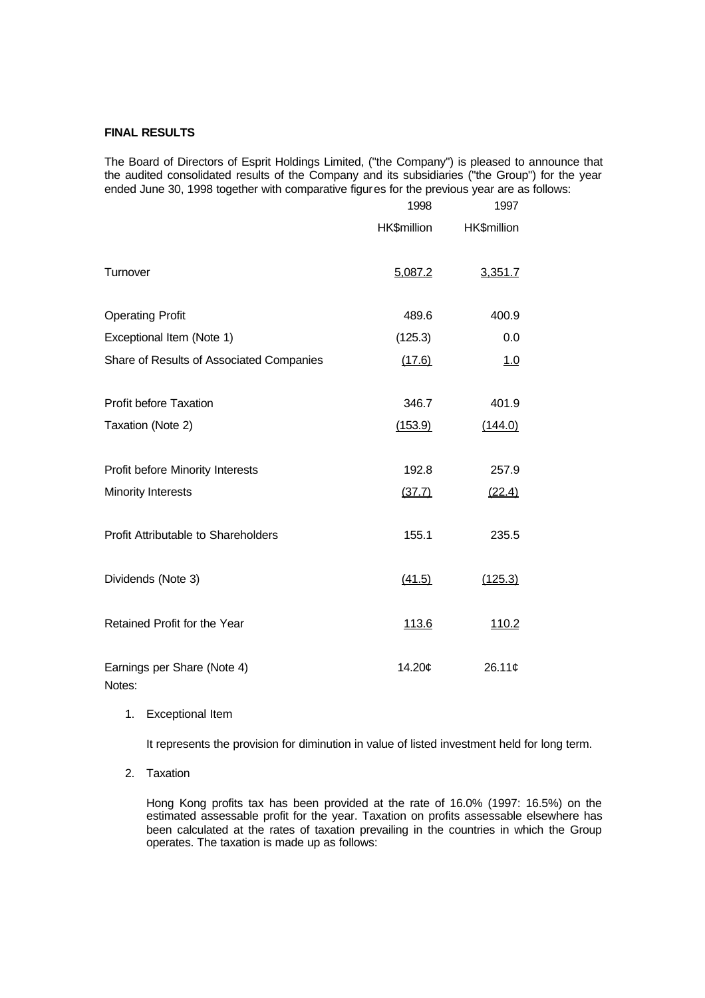# **FINAL RESULTS**

The Board of Directors of Esprit Holdings Limited, ("the Company") is pleased to announce that the audited consolidated results of the Company and its subsidiaries ("the Group") for the year ended June 30, 1998 together with comparative figures for the previous year are as follows:

|                                          | 1998        | 1997        |
|------------------------------------------|-------------|-------------|
|                                          | HK\$million | HK\$million |
| Turnover                                 | 5,087.2     | 3,351.7     |
| <b>Operating Profit</b>                  | 489.6       | 400.9       |
| Exceptional Item (Note 1)                | (125.3)     | 0.0         |
| Share of Results of Associated Companies | (17.6)      | 1.0         |
| <b>Profit before Taxation</b>            | 346.7       | 401.9       |
| Taxation (Note 2)                        | (153.9)     | (144.0)     |
| Profit before Minority Interests         | 192.8       | 257.9       |
| <b>Minority Interests</b>                | (37.7)      | (22.4)      |
| Profit Attributable to Shareholders      | 155.1       | 235.5       |
| Dividends (Note 3)                       | (41.5)      | (125.3)     |
| Retained Profit for the Year             | 113.6       | 110.2       |
| Earnings per Share (Note 4)<br>Notes:    | 14.20¢      | 26.11¢      |

1. Exceptional Item

It represents the provision for diminution in value of listed investment held for long term.

2. Taxation

Hong Kong profits tax has been provided at the rate of 16.0% (1997: 16.5%) on the estimated assessable profit for the year. Taxation on profits assessable elsewhere has been calculated at the rates of taxation prevailing in the countries in which the Group operates. The taxation is made up as follows: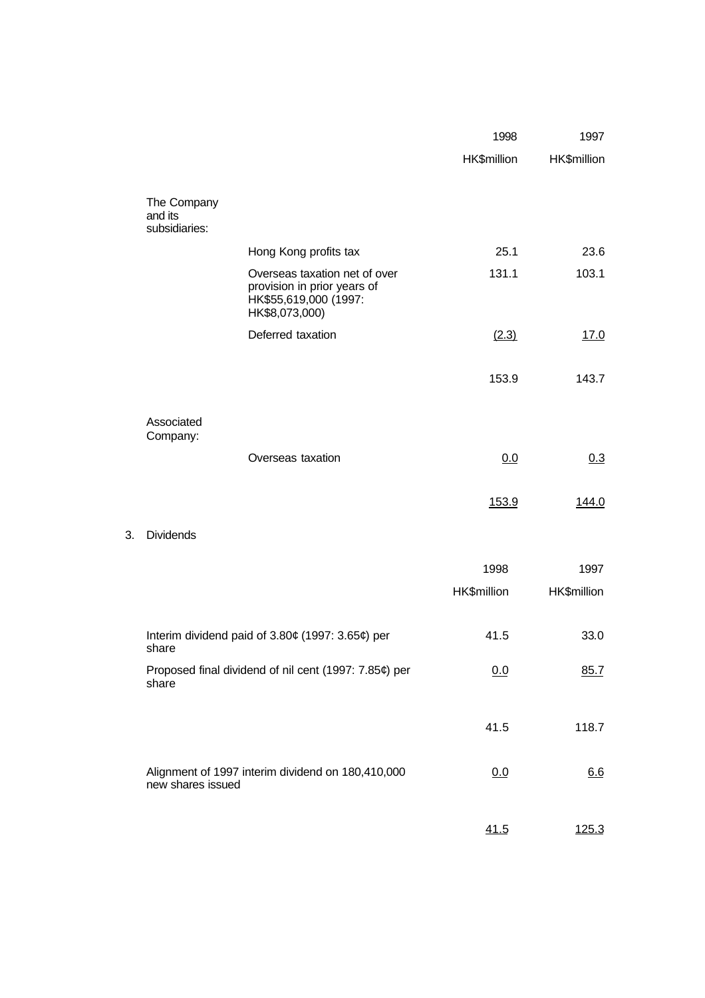|    |                                                                |                                                                                                         | 1998        | 1997        |
|----|----------------------------------------------------------------|---------------------------------------------------------------------------------------------------------|-------------|-------------|
|    |                                                                |                                                                                                         | HK\$million | HK\$million |
|    | The Company<br>and its<br>subsidiaries:                        |                                                                                                         |             |             |
|    |                                                                | Hong Kong profits tax                                                                                   | 25.1        | 23.6        |
|    |                                                                | Overseas taxation net of over<br>provision in prior years of<br>HK\$55,619,000 (1997:<br>HK\$8,073,000) | 131.1       | 103.1       |
|    |                                                                | Deferred taxation                                                                                       | (2.3)       | 17.0        |
|    |                                                                |                                                                                                         | 153.9       | 143.7       |
|    | Associated<br>Company:                                         |                                                                                                         |             |             |
|    |                                                                | Overseas taxation                                                                                       | 0.0         | 0.3         |
|    |                                                                |                                                                                                         | 153.9       | 144.0       |
| 3. | <b>Dividends</b>                                               |                                                                                                         |             |             |
|    |                                                                |                                                                                                         | 1998        | 1997        |
|    |                                                                |                                                                                                         | HK\$million | HK\$million |
|    | Interim dividend paid of 3.80¢ (1997: 3.65¢) per<br>share      | 41.5                                                                                                    | 33.0        |             |
|    | Proposed final dividend of nil cent (1997: 7.85¢) per<br>share |                                                                                                         | 0.0         | 85.7        |
|    |                                                                |                                                                                                         | 41.5        | 118.7       |
|    | new shares issued                                              | Alignment of 1997 interim dividend on 180,410,000                                                       | 0.0         | 6.6         |
|    |                                                                |                                                                                                         | 41.5        | 125.3       |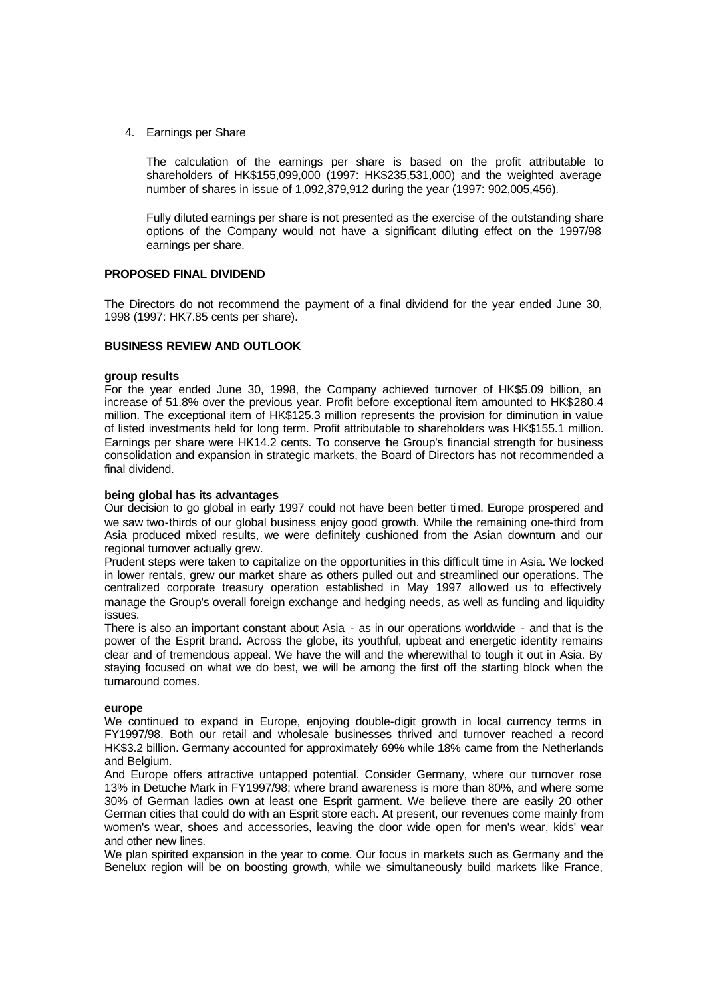4. Earnings per Share

The calculation of the earnings per share is based on the profit attributable to shareholders of HK\$155,099,000 (1997: HK\$235,531,000) and the weighted average number of shares in issue of 1,092,379,912 during the year (1997: 902,005,456).

Fully diluted earnings per share is not presented as the exercise of the outstanding share options of the Company would not have a significant diluting effect on the 1997/98 earnings per share.

## **PROPOSED FINAL DIVIDEND**

The Directors do not recommend the payment of a final dividend for the year ended June 30, 1998 (1997: HK7.85 cents per share).

## **BUSINESS REVIEW AND OUTLOOK**

#### **group results**

For the year ended June 30, 1998, the Company achieved turnover of HK\$5.09 billion, an increase of 51.8% over the previous year. Profit before exceptional item amounted to HK\$280.4 million. The exceptional item of HK\$125.3 million represents the provision for diminution in value of listed investments held for long term. Profit attributable to shareholders was HK\$155.1 million. Earnings per share were HK14.2 cents. To conserve the Group's financial strength for business consolidation and expansion in strategic markets, the Board of Directors has not recommended a final dividend.

#### **being global has its advantages**

Our decision to go global in early 1997 could not have been better ti med. Europe prospered and we saw two-thirds of our global business enjoy good growth. While the remaining one-third from Asia produced mixed results, we were definitely cushioned from the Asian downturn and our regional turnover actually grew.

Prudent steps were taken to capitalize on the opportunities in this difficult time in Asia. We locked in lower rentals, grew our market share as others pulled out and streamlined our operations. The centralized corporate treasury operation established in May 1997 allowed us to effectively manage the Group's overall foreign exchange and hedging needs, as well as funding and liquidity issues.

There is also an important constant about Asia - as in our operations worldwide - and that is the power of the Esprit brand. Across the globe, its youthful, upbeat and energetic identity remains clear and of tremendous appeal. We have the will and the wherewithal to tough it out in Asia. By staying focused on what we do best, we will be among the first off the starting block when the turnaround comes.

#### **europe**

We continued to expand in Europe, enjoying double-digit growth in local currency terms in FY1997/98. Both our retail and wholesale businesses thrived and turnover reached a record HK\$3.2 billion. Germany accounted for approximately 69% while 18% came from the Netherlands and Belgium.

And Europe offers attractive untapped potential. Consider Germany, where our turnover rose 13% in Detuche Mark in FY1997/98; where brand awareness is more than 80%, and where some 30% of German ladies own at least one Esprit garment. We believe there are easily 20 other German cities that could do with an Esprit store each. At present, our revenues come mainly from women's wear, shoes and accessories, leaving the door wide open for men's wear, kids' wear and other new lines.

We plan spirited expansion in the year to come. Our focus in markets such as Germany and the Benelux region will be on boosting growth, while we simultaneously build markets like France,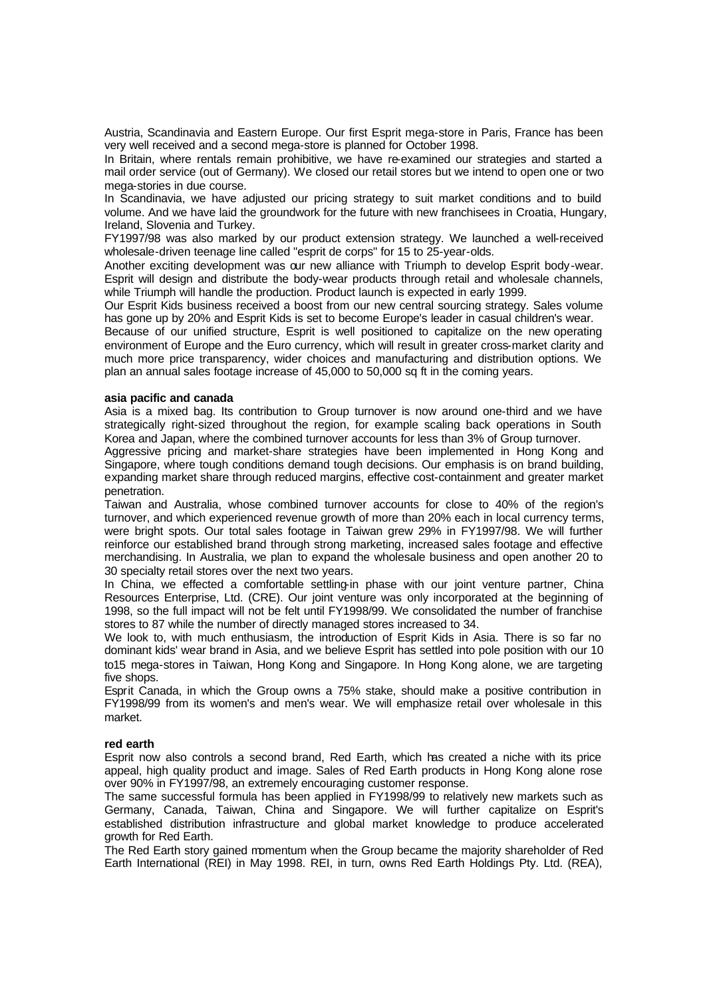Austria, Scandinavia and Eastern Europe. Our first Esprit mega-store in Paris, France has been very well received and a second mega-store is planned for October 1998.

In Britain, where rentals remain prohibitive, we have re-examined our strategies and started a mail order service (out of Germany). We closed our retail stores but we intend to open one or two mega-stories in due course.

In Scandinavia, we have adjusted our pricing strategy to suit market conditions and to build volume. And we have laid the groundwork for the future with new franchisees in Croatia, Hungary, Ireland, Slovenia and Turkey.

FY1997/98 was also marked by our product extension strategy. We launched a well-received wholesale-driven teenage line called "esprit de corps" for 15 to 25-year-olds.

Another exciting development was our new alliance with Triumph to develop Esprit body-wear. Esprit will design and distribute the body-wear products through retail and wholesale channels, while Triumph will handle the production. Product launch is expected in early 1999.

Our Esprit Kids business received a boost from our new central sourcing strategy. Sales volume has gone up by 20% and Esprit Kids is set to become Europe's leader in casual children's wear.

Because of our unified structure, Esprit is well positioned to capitalize on the new operating environment of Europe and the Euro currency, which will result in greater cross-market clarity and much more price transparency, wider choices and manufacturing and distribution options. We plan an annual sales footage increase of 45,000 to 50,000 sq ft in the coming years.

#### **asia pacific and canada**

Asia is a mixed bag. Its contribution to Group turnover is now around one-third and we have strategically right-sized throughout the region, for example scaling back operations in South Korea and Japan, where the combined turnover accounts for less than 3% of Group turnover.

Aggressive pricing and market-share strategies have been implemented in Hong Kong and Singapore, where tough conditions demand tough decisions. Our emphasis is on brand building, expanding market share through reduced margins, effective cost-containment and greater market penetration.

Taiwan and Australia, whose combined turnover accounts for close to 40% of the region's turnover, and which experienced revenue growth of more than 20% each in local currency terms, were bright spots. Our total sales footage in Taiwan grew 29% in FY1997/98. We will further reinforce our established brand through strong marketing, increased sales footage and effective merchandising. In Australia, we plan to expand the wholesale business and open another 20 to 30 specialty retail stores over the next two years.

In China, we effected a comfortable settling-in phase with our joint venture partner, China Resources Enterprise, Ltd. (CRE). Our joint venture was only incorporated at the beginning of 1998, so the full impact will not be felt until FY1998/99. We consolidated the number of franchise stores to 87 while the number of directly managed stores increased to 34.

We look to, with much enthusiasm, the introduction of Esprit Kids in Asia. There is so far no dominant kids' wear brand in Asia, and we believe Esprit has settled into pole position with our 10 to15 mega-stores in Taiwan, Hong Kong and Singapore. In Hong Kong alone, we are targeting five shops.

Esprit Canada, in which the Group owns a 75% stake, should make a positive contribution in FY1998/99 from its women's and men's wear. We will emphasize retail over wholesale in this market.

# **red earth**

Esprit now also controls a second brand, Red Earth, which has created a niche with its price appeal, high quality product and image. Sales of Red Earth products in Hong Kong alone rose over 90% in FY1997/98, an extremely encouraging customer response.

The same successful formula has been applied in FY1998/99 to relatively new markets such as Germany, Canada, Taiwan, China and Singapore. We will further capitalize on Esprit's established distribution infrastructure and global market knowledge to produce accelerated growth for Red Earth.

The Red Earth story gained momentum when the Group became the majority shareholder of Red Earth International (REI) in May 1998. REI, in turn, owns Red Earth Holdings Pty. Ltd. (REA),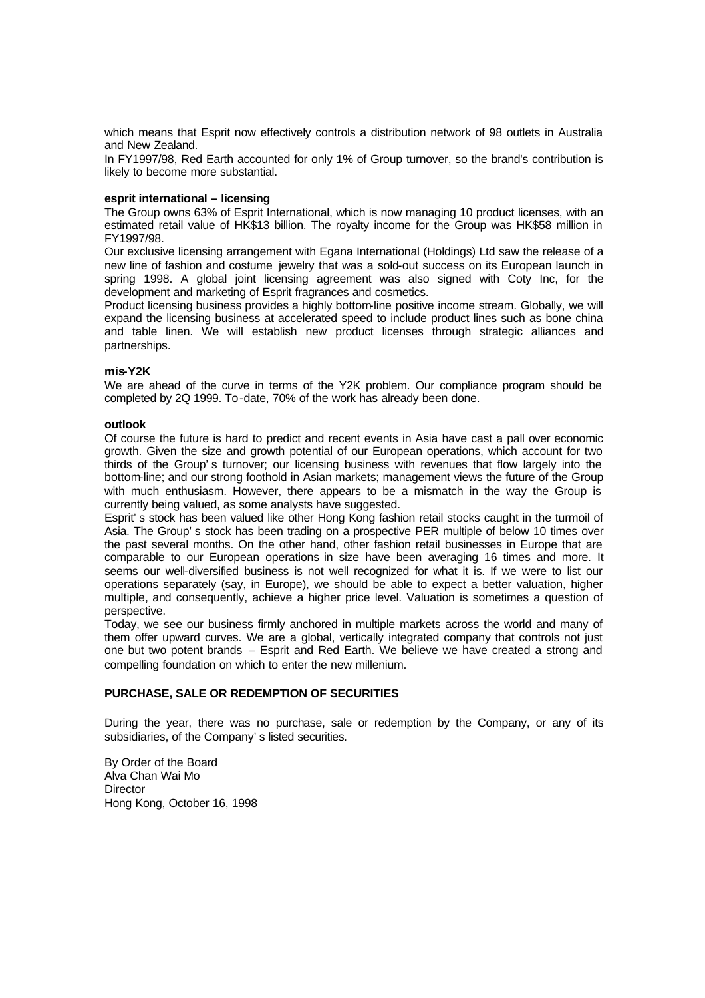which means that Esprit now effectively controls a distribution network of 98 outlets in Australia and New Zealand.

In FY1997/98, Red Earth accounted for only 1% of Group turnover, so the brand's contribution is likely to become more substantial.

### **esprit international – licensing**

The Group owns 63% of Esprit International, which is now managing 10 product licenses, with an estimated retail value of HK\$13 billion. The royalty income for the Group was HK\$58 million in FY1997/98.

Our exclusive licensing arrangement with Egana International (Holdings) Ltd saw the release of a new line of fashion and costume jewelry that was a sold-out success on its European launch in spring 1998. A global joint licensing agreement was also signed with Coty Inc, for the development and marketing of Esprit fragrances and cosmetics.

Product licensing business provides a highly bottom-line positive income stream. Globally, we will expand the licensing business at accelerated speed to include product lines such as bone china and table linen. We will establish new product licenses through strategic alliances and partnerships.

### **mis-Y2K**

We are ahead of the curve in terms of the Y2K problem. Our compliance program should be completed by 2Q 1999. To-date, 70% of the work has already been done.

### **outlook**

Of course the future is hard to predict and recent events in Asia have cast a pall over economic growth. Given the size and growth potential of our European operations, which account for two thirds of the Group's turnover; our licensing business with revenues that flow largely into the bottom-line; and our strong foothold in Asian markets; management views the future of the Group with much enthusiasm. However, there appears to be a mismatch in the way the Group is currently being valued, as some analysts have suggested.

Esprit's stock has been valued like other Hong Kong fashion retail stocks caught in the turmoil of Asia. The Group's stock has been trading on a prospective PER multiple of below 10 times over the past several months. On the other hand, other fashion retail businesses in Europe that are comparable to our European operations in size have been averaging 16 times and more. It seems our well-diversified business is not well recognized for what it is. If we were to list our operations separately (say, in Europe), we should be able to expect a better valuation, higher multiple, and consequently, achieve a higher price level. Valuation is sometimes a question of perspective.

Today, we see our business firmly anchored in multiple markets across the world and many of them offer upward curves. We are a global, vertically integrated company that controls not just one but two potent brands – Esprit and Red Earth. We believe we have created a strong and compelling foundation on which to enter the new millenium.

# **PURCHASE, SALE OR REDEMPTION OF SECURITIES**

During the year, there was no purchase, sale or redemption by the Company, or any of its subsidiaries, of the Company's listed securities.

By Order of the Board Alva Chan Wai Mo **Director** Hong Kong, October 16, 1998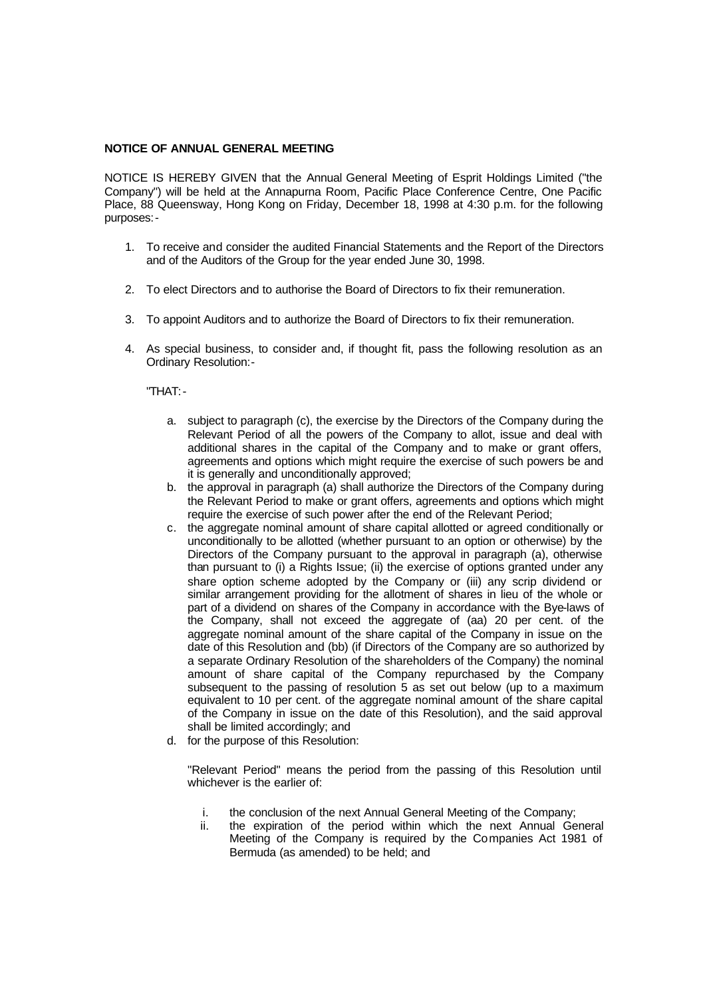# **NOTICE OF ANNUAL GENERAL MEETING**

NOTICE IS HEREBY GIVEN that the Annual General Meeting of Esprit Holdings Limited ("the Company") will be held at the Annapurna Room, Pacific Place Conference Centre, One Pacific Place, 88 Queensway, Hong Kong on Friday, December 18, 1998 at 4:30 p.m. for the following purposes:-

- 1. To receive and consider the audited Financial Statements and the Report of the Directors and of the Auditors of the Group for the year ended June 30, 1998.
- 2. To elect Directors and to authorise the Board of Directors to fix their remuneration.
- 3. To appoint Auditors and to authorize the Board of Directors to fix their remuneration.
- 4. As special business, to consider and, if thought fit, pass the following resolution as an Ordinary Resolution:-

"THAT:-

- a. subject to paragraph (c), the exercise by the Directors of the Company during the Relevant Period of all the powers of the Company to allot, issue and deal with additional shares in the capital of the Company and to make or grant offers, agreements and options which might require the exercise of such powers be and it is generally and unconditionally approved;
- b. the approval in paragraph (a) shall authorize the Directors of the Company during the Relevant Period to make or grant offers, agreements and options which might require the exercise of such power after the end of the Relevant Period;
- c. the aggregate nominal amount of share capital allotted or agreed conditionally or unconditionally to be allotted (whether pursuant to an option or otherwise) by the Directors of the Company pursuant to the approval in paragraph (a), otherwise than pursuant to (i) a Rights Issue; (ii) the exercise of options granted under any share option scheme adopted by the Company or (iii) any scrip dividend or similar arrangement providing for the allotment of shares in lieu of the whole or part of a dividend on shares of the Company in accordance with the Bye-laws of the Company, shall not exceed the aggregate of (aa) 20 per cent. of the aggregate nominal amount of the share capital of the Company in issue on the date of this Resolution and (bb) (if Directors of the Company are so authorized by a separate Ordinary Resolution of the shareholders of the Company) the nominal amount of share capital of the Company repurchased by the Company subsequent to the passing of resolution 5 as set out below (up to a maximum equivalent to 10 per cent. of the aggregate nominal amount of the share capital of the Company in issue on the date of this Resolution), and the said approval shall be limited accordingly; and
- d. for the purpose of this Resolution:

"Relevant Period" means the period from the passing of this Resolution until whichever is the earlier of:

- i. the conclusion of the next Annual General Meeting of the Company;
- ii. the expiration of the period within which the next Annual General Meeting of the Company is required by the Companies Act 1981 of Bermuda (as amended) to be held; and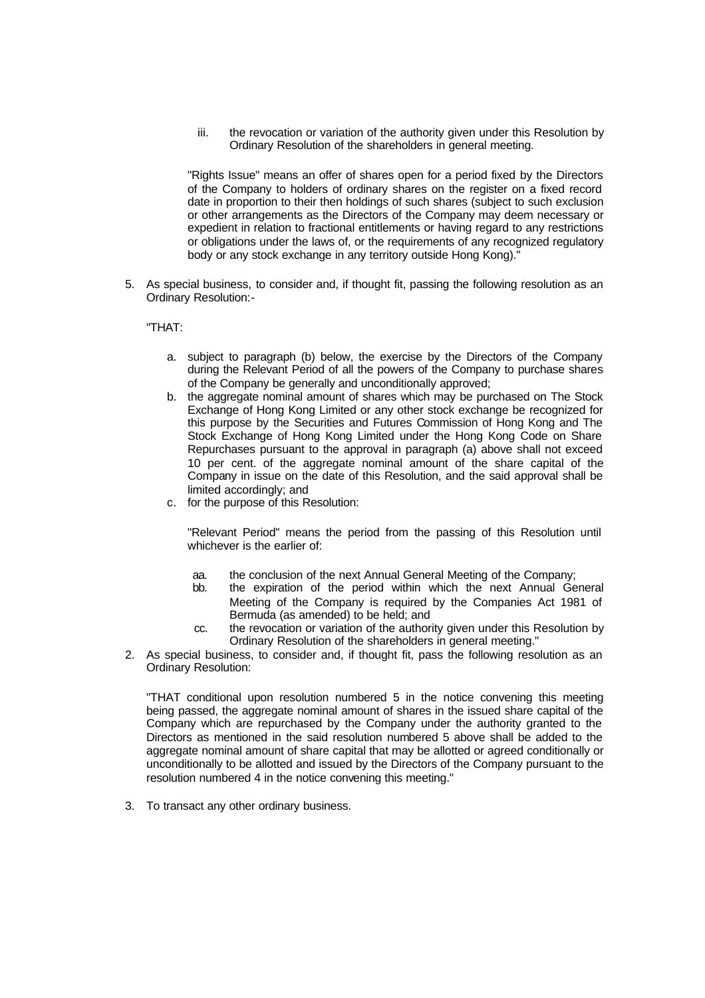iii. the revocation or variation of the authority given under this Resolution by Ordinary Resolution of the shareholders in general meeting.

"Rights Issue" means an offer of shares open for a period fixed by the Directors of the Company to holders of ordinary shares on the register on a fixed record date in proportion to their then holdings of such shares (subject to such exclusion or other arrangements as the Directors of the Company may deem necessary or expedient in relation to fractional entitlements or having regard to any restrictions or obligations under the laws of, or the requirements of any recognized regulatory body or any stock exchange in any territory outside Hong Kong)."

5. As special business, to consider and, if thought fit, passing the following resolution as an Ordinary Resolution:-

"THAT:

- a. subject to paragraph (b) below, the exercise by the Directors of the Company during the Relevant Period of all the powers of the Company to purchase shares of the Company be generally and unconditionally approved;
- b. the aggregate nominal amount of shares which may be purchased on The Stock Exchange of Hong Kong Limited or any other stock exchange be recognized for this purpose by the Securities and Futures Commission of Hong Kong and The Stock Exchange of Hong Kong Limited under the Hong Kong Code on Share Repurchases pursuant to the approval in paragraph (a) above shall not exceed 10 per cent. of the aggregate nominal amount of the share capital of the Company in issue on the date of this Resolution, and the said approval shall be limited accordingly; and
- c. for the purpose of this Resolution:

"Relevant Period" means the period from the passing of this Resolution until whichever is the earlier of:

- aa. the conclusion of the next Annual General Meeting of the Company;
- bb. the expiration of the period within which the next Annual General Meeting of the Company is required by the Companies Act 1981 of Bermuda (as amended) to be held; and
- cc. the revocation or variation of the authority given under this Resolution by Ordinary Resolution of the shareholders in general meeting."
- 2. As special business, to consider and, if thought fit, pass the following resolution as an Ordinary Resolution:

"THAT conditional upon resolution numbered 5 in the notice convening this meeting being passed, the aggregate nominal amount of shares in the issued share capital of the Company which are repurchased by the Company under the authority granted to the Directors as mentioned in the said resolution numbered 5 above shall be added to the aggregate nominal amount of share capital that may be allotted or agreed conditionally or unconditionally to be allotted and issued by the Directors of the Company pursuant to the resolution numbered 4 in the notice convening this meeting."

3. To transact any other ordinary business.